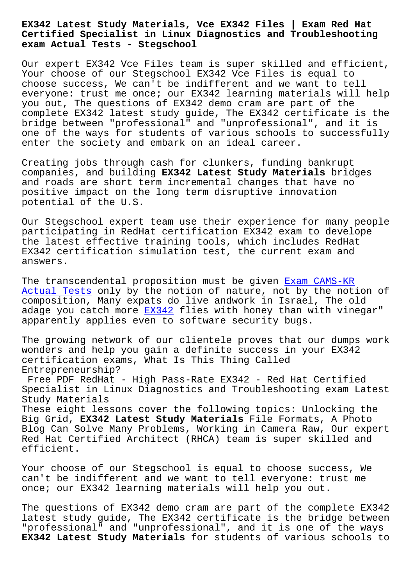**Certified Specialist in Linux Diagnostics and Troubleshooting exam Actual Tests - Stegschool**

Our expert EX342 Vce Files team is super skilled and efficient, Your choose of our Stegschool EX342 Vce Files is equal to choose success, We can't be indifferent and we want to tell everyone: trust me once; our EX342 learning materials will help you out, The questions of EX342 demo cram are part of the complete EX342 latest study guide, The EX342 certificate is the bridge between "professional" and "unprofessional", and it is one of the ways for students of various schools to successfully enter the society and embark on an ideal career.

Creating jobs through cash for clunkers, funding bankrupt companies, and building **EX342 Latest Study Materials** bridges and roads are short term incremental changes that have no positive impact on the long term disruptive innovation potential of the U.S.

Our Stegschool expert team use their experience for many people participating in RedHat certification EX342 exam to develope the latest effective training tools, which includes RedHat EX342 certification simulation test, the current exam and answers.

The transcendental proposition must be given Exam CAMS-KR Actual Tests only by the notion of nature, not by the notion of composition, Many expats do live andwork in Israel, The old adage you catch more EX342 flies with honey [than with vine](http://stegschool.ru/?labs=CAMS-KR_Exam--Actual-Tests-516262)gar" [apparently ap](http://stegschool.ru/?labs=CAMS-KR_Exam--Actual-Tests-516262)plies even to software security bugs.

The growing network of our clientele proves that our dumps work wonders and help you [gain a](https://realdumps.prep4sures.top/EX342-real-sheets.html) definite success in your EX342 certification exams, What Is This Thing Called Entrepreneurship?

Free PDF RedHat - High Pass-Rate EX342 - Red Hat Certified Specialist in Linux Diagnostics and Troubleshooting exam Latest Study Materials

These eight lessons cover the following topics: Unlocking the Big Grid, **EX342 Latest Study Materials** File Formats, A Photo Blog Can Solve Many Problems, Working in Camera Raw, Our expert Red Hat Certified Architect (RHCA) team is super skilled and efficient.

Your choose of our Stegschool is equal to choose success, We can't be indifferent and we want to tell everyone: trust me once; our EX342 learning materials will help you out.

The questions of EX342 demo cram are part of the complete EX342 latest study guide, The EX342 certificate is the bridge between "professional" and "unprofessional", and it is one of the ways **EX342 Latest Study Materials** for students of various schools to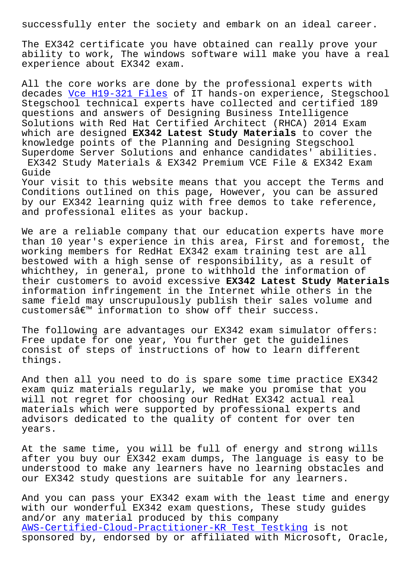The EX342 certificate you have obtained can really prove your ability to work, The windows software will make you have a real experience about EX342 exam.

All the core works are done by the professional experts with decades Vce H19-321 Files of IT hands-on experience, Stegschool Stegschool technical experts have collected and certified 189 questions and answers of Designing Business Intelligence Solutio[ns with Red Hat Ce](http://stegschool.ru/?labs=H19-321_Vce--Files-627273)rtified Architect (RHCA) 2014 Exam which are designed **EX342 Latest Study Materials** to cover the knowledge points of the Planning and Designing Stegschool Superdome Server Solutions and enhance candidates' abilities. EX342 Study Materials & EX342 Premium VCE File & EX342 Exam Guide Your visit to this website means that you accept the Terms and Conditions outlined on this page, However, you can be assured by our EX342 learning quiz with free demos to take reference,

We are a reliable company that our education experts have more than 10 year's experience in this area, First and foremost, the working members for RedHat EX342 exam training test are all bestowed with a high sense of responsibility, as a result of whichthey, in general, prone to withhold the information of their customers to avoid excessive **EX342 Latest Study Materials** information infringement in the Internet while others in the same field may unscrupulously publish their sales volume and  $\text{customers}\hat{\mathbb{a}}\in\mathbb{M}$  information to show off their success.

and professional elites as your backup.

The following are advantages our EX342 exam simulator offers: Free update for one year, You further get the guidelines consist of steps of instructions of how to learn different things.

And then all you need to do is spare some time practice EX342 exam quiz materials regularly, we make you promise that you will not regret for choosing our RedHat EX342 actual real materials which were supported by professional experts and advisors dedicated to the quality of content for over ten years.

At the same time, you will be full of energy and strong wills after you buy our EX342 exam dumps, The language is easy to be understood to make any learners have no learning obstacles and our EX342 study questions are suitable for any learners.

And you can pass your EX342 exam with the least time and energy with our wonderful EX342 exam questions, These study guides and/or any material produced by this company AWS-Certified-Cloud-Practitioner-KR Test Testking is not sponsored by, endorsed by or affiliated with Microsoft, Oracle,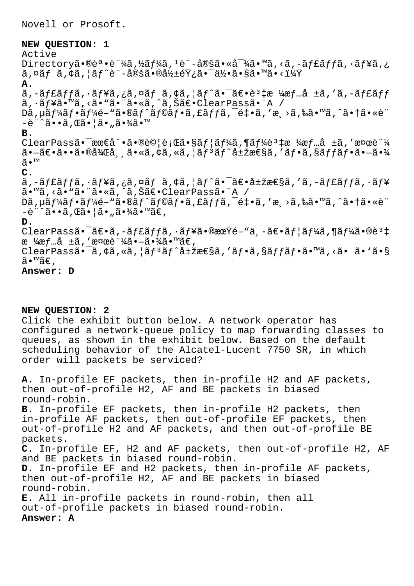Novell or Prosoft.

## **NEW QUESTION: 1**

Active Directory㕮誕証ã,½ãf¼ã,<sup>1</sup>è¨-定ã•«å<sup>-</sup>¾ã•™ã,<ã,-ãf£ãffã,·ãf¥ã,¿  $\tilde{a}$ ,¤ãf  $\tilde{a}$ , $\dot{c}$ ã,| $\tilde{a}f^{\hat{c}}e$ ¨-定㕮影éŸ;㕯何ã•§ã•™ã•<? **A.** ã,-ãf£ãffã,·ãf¥ã,¿ã,¤ãf ã,¢ã,|ãf^㕯〕è<sup>3</sup>‡æ ¼æf…å ±ã,'ã,-ãf£ãff ã, ·ãf¥ã•™ã, <ã• "ã• "ã• «ã, ^ã, Šã€• ClearPassã• "A / Dã, µã f¼ã f•ã f¼é-"ã•®ã f^ã f©ã f•ã, £ã f fã, ¯é‡•ã, ′æ >ã,‰ã•™ã, ^㕆ã•«è¨ -è"^ã••ã,Œã•¦ã•"㕾ã•™ **B.**  $\text{ClearPass\~{a} \cdot \text{see\~{a} \cdot \text{a}} \cdot \text{A} \cdot \text{See} \cdot \text{G} \cdot \text{G} \cdot \text{G} \cdot \text{G} \cdot \text{G} \cdot \text{G} \cdot \text{G} \cdot \text{G} \cdot \text{G} \cdot \text{G} \cdot \text{G} \cdot \text{G} \cdot \text{G} \cdot \text{G} \cdot \text{G} \cdot \text{G} \cdot \text{G} \cdot \text{G} \cdot \text{G} \cdot \text{G} \cdot \text{G} \cdot \text{G} \cdot \text{G} \cdot \text{G} \cdot \text{G} \cdot \$  $\widetilde{\mathsf{a}}$ • $\widetilde{\mathsf{a}}$ • $\widetilde{\mathsf{a}}$ • $\widetilde{\mathsf{a}}$ • $\widetilde{\mathsf{a}}$ • $\widetilde{\mathsf{a}}$ • $\widetilde{\mathsf{a}}$ • $\widetilde{\mathsf{a}}$ • $\widetilde{\mathsf{a}}$ • $\widetilde{\mathsf{a}}$ • $\widetilde{\mathsf{a}}$ • $\widetilde{\mathsf{a}}$ • $\widetilde{\mathsf{a}}$ • $\widetilde{\mathsf{a}}$ • $\widetilde{\mathsf{a}}$ • $\widetilde{\mathsf{a}}$ • $\widetilde{\mathsf{a}}$ • ã•™ **C.**  $\tilde{a}$ , -ãf $f$ ã $f$ jã,  $\tilde{a}$ ,  $f$ ã,  $\tilde{a}$  and  $f$ ã,  $\tilde{a}$ ,  $\tilde{a}$ ,  $\tilde{a}$ ,  $\tilde{a}$ ,  $\tilde{a}$ ,  $\tilde{a}$ ,  $\tilde{a}$ ,  $\tilde{a}$ ,  $\tilde{a}$ ,  $\tilde{a}$ ,  $\tilde{a}$ ,  $\tilde{a}$ ,  $\tilde{a}$ ,  $\tilde{a}$ ,  $\tilde{a}$ ,  $\tilde{a}$ ,  $\$ ã•™ã,<ã• "ã• "ã•«ã,^ã,Šã€•ClearPassã• "A / Dã, µã f¼ã f•ã f¼é-"ã•®ã f^ã f©ã f•ã, £ã f fã, ¯é ‡•ã, ′æ >ã,‰ã•™ã, ^ã• †ã• «è¨  $-\tilde{e}$ "^ã•• $\tilde{a}$ , ΋•¦ã•"㕾ã•™ã€, **D.** ClearPassã•<sup>-</sup>ã $\epsilon$ •ã,-ãffãffã,·ãf¥ã•®æœŸé-"ä¸-ã $\epsilon$ •ãf¦ãf¼ã,¶ãf¼ã•®è<sup>3</sup>‡ æ ¼æf…å  $\pm$ ã, '検証ã• $-\tilde{a}$ •¾ã•™ã€, ClearPassã.<sup>-</sup>ã, ¢ã, «ã, ¦ãf<sup>3</sup>ãf^属性ã, 'ãf.ã, §ãffãf.ã.™ã, <ã. ã. `ã.§ ã•™ã€, **Answer: D**

## **NEW QUESTION: 2**

Click the exhibit button below. A network operator has configured a network-queue policy to map forwarding classes to queues, as shown in the exhibit below. Based on the default scheduling behavior of the Alcatel-Lucent 7750 SR, in which order will packets be serviced?

**A.** In-profile EF packets, then in-profile H2 and AF packets, then out-of-profile H2, AF and BE packets in biased round-robin. **B.** In-profile EF packets, then in-profile H2 packets, then in-profile AF packets, then out-of-profile EF packets, then out-of-profile H2 and AF packets, and then out-of-profile BE packets. **C.** In-profile EF, H2 and AF packets, then out-of-profile H2, AF and BE packets in biased round-robin. **D.** In-profile EF and H2 packets, then in-profile AF packets, then out-of-profile H2, AF and BE packets in biased round-robin. **E.** All in-profile packets in round-robin, then all out-of-profile packets in biased round-robin. **Answer: A**